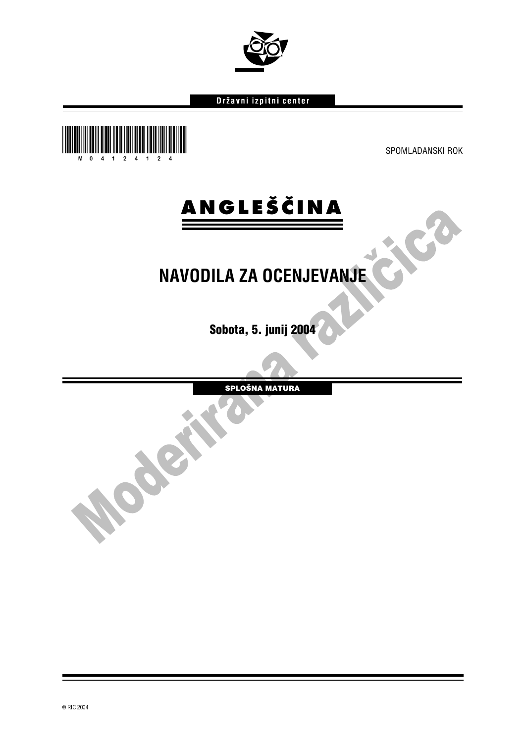#### Državni izpitni center



**MORE** 

ico

 $\bullet$ 



### **NAVODILA ZA OCENJEVANJE**

Sobota, 5. junij 2004

SPLOŠNA MATURA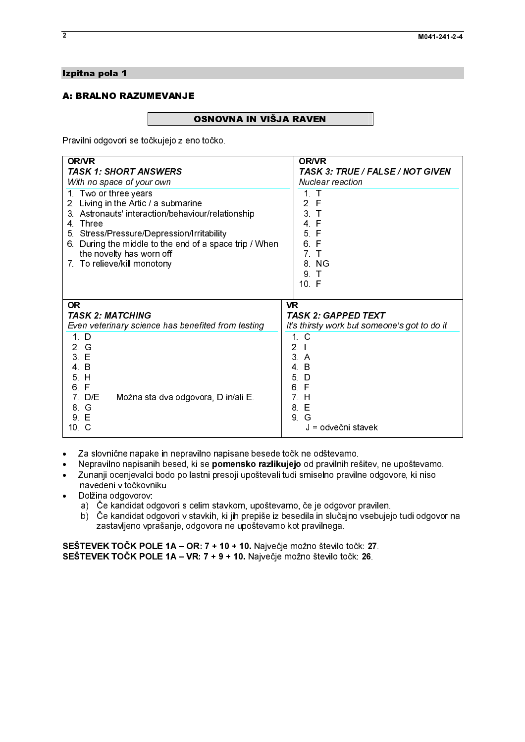## Izpitna pola 1<br>A: BRALNO RAZUMEVANJE

 $\sqrt{\frac{1}{2}}$ Pravilni odgovori se točkujejo z eno točko.

| Pravilni odgovori se točkujejo z eno točko.                                                                                                                                                                             |                                                                                         |
|-------------------------------------------------------------------------------------------------------------------------------------------------------------------------------------------------------------------------|-----------------------------------------------------------------------------------------|
| <b>OR/VR</b><br><b>TASK 1: SHORT ANSWERS</b>                                                                                                                                                                            | <b>OR/VR</b>                                                                            |
| With no space of your own<br>1 Two or three years                                                                                                                                                                       | TASK 3: TRUE / FALSE / NOT GIVEN<br>Nuclear reaction<br>$1$ T                           |
| 2. Living in the Artic / a submarine<br>3. Astronauts' interaction/behaviour/relationship                                                                                                                               | 2 F<br>3 <sub>1</sub>                                                                   |
| 4 Three<br>5. Stress/Pressure/Depression/Irritability<br>6. During the middle to the end of a space trip / When                                                                                                         | 4 F<br>5 F<br>6 F                                                                       |
| the novelty has worn off<br>7. To relieve/kill monotony                                                                                                                                                                 | 7. T<br>8 NG                                                                            |
|                                                                                                                                                                                                                         | 9 T<br>10 F                                                                             |
| <b>OR</b><br><b>TASK 2: MATCHING</b><br>Even veterinary science has benefited from testing                                                                                                                              | <b>VR</b><br><b>TASK 2: GAPPED TEXT</b><br>It's thirsty work but someone's got to do it |
| 1. D<br>2 G                                                                                                                                                                                                             | 1 <sub>c</sub><br>2 <sub>1</sub>                                                        |
| 3 E<br>$4\quad B$<br>5H                                                                                                                                                                                                 | 3A<br>4 B<br>5 D                                                                        |
| 6. F<br>7 D/E<br>Možna sta dva odgovora, D in/ali E.                                                                                                                                                                    | 6 F<br>7 H                                                                              |
| 8. G<br>9 E<br>10 C                                                                                                                                                                                                     | 8 E<br>9 G<br>J = odvečni stavek                                                        |
| Za slovnične napake in nepravilno napisane besede točk ne odštevamo.<br>$\bullet$                                                                                                                                       |                                                                                         |
| Nepravilno napisanih besed, ki se pomensko razlikujejo od pravilnih rešitev, ne upoštevamo.<br>$\bullet$<br>Zunanji ocenjevalci bodo po lastni presoji upoštevali tudi smiselno pravilne odgovore, ki niso<br>$\bullet$ |                                                                                         |
| navedeni v točkovniku.<br>Dolžina odgovorov:<br>$\bullet$<br>a) Če kandidat odgovori s celim stavkom, upoštevamo, če je odgovor pravilen.                                                                               |                                                                                         |
| b) Če kandidat odgovori v stavkih, ki jih prepiše iz besedila in slučajno vsebujejo tudi odgovor na<br>zastavljeno vprašanje, odgovora ne upoštevamo kot pravilnega.                                                    |                                                                                         |
| SEŠTEVEK TOČK POLE 1A - OR: 7 + 10 + 10. Največje možno število točk: 27.<br>SEŠTEVEK TOČK POLE 1A - VR: 7 + 9 + 10. Največje možno število točk: 26.                                                                   |                                                                                         |
|                                                                                                                                                                                                                         |                                                                                         |
|                                                                                                                                                                                                                         |                                                                                         |
|                                                                                                                                                                                                                         |                                                                                         |
|                                                                                                                                                                                                                         |                                                                                         |
|                                                                                                                                                                                                                         |                                                                                         |
|                                                                                                                                                                                                                         |                                                                                         |
|                                                                                                                                                                                                                         |                                                                                         |
|                                                                                                                                                                                                                         |                                                                                         |
|                                                                                                                                                                                                                         |                                                                                         |
|                                                                                                                                                                                                                         |                                                                                         |
|                                                                                                                                                                                                                         |                                                                                         |
|                                                                                                                                                                                                                         |                                                                                         |
|                                                                                                                                                                                                                         |                                                                                         |
|                                                                                                                                                                                                                         |                                                                                         |
|                                                                                                                                                                                                                         |                                                                                         |
|                                                                                                                                                                                                                         |                                                                                         |
|                                                                                                                                                                                                                         |                                                                                         |
|                                                                                                                                                                                                                         |                                                                                         |
|                                                                                                                                                                                                                         |                                                                                         |
|                                                                                                                                                                                                                         |                                                                                         |
|                                                                                                                                                                                                                         |                                                                                         |
|                                                                                                                                                                                                                         |                                                                                         |
|                                                                                                                                                                                                                         |                                                                                         |
|                                                                                                                                                                                                                         |                                                                                         |
|                                                                                                                                                                                                                         |                                                                                         |
|                                                                                                                                                                                                                         |                                                                                         |
|                                                                                                                                                                                                                         |                                                                                         |
|                                                                                                                                                                                                                         |                                                                                         |
|                                                                                                                                                                                                                         |                                                                                         |
|                                                                                                                                                                                                                         |                                                                                         |
|                                                                                                                                                                                                                         |                                                                                         |
|                                                                                                                                                                                                                         |                                                                                         |
|                                                                                                                                                                                                                         |                                                                                         |
|                                                                                                                                                                                                                         |                                                                                         |
|                                                                                                                                                                                                                         |                                                                                         |
|                                                                                                                                                                                                                         |                                                                                         |
|                                                                                                                                                                                                                         |                                                                                         |
|                                                                                                                                                                                                                         |                                                                                         |
|                                                                                                                                                                                                                         |                                                                                         |
|                                                                                                                                                                                                                         |                                                                                         |
|                                                                                                                                                                                                                         |                                                                                         |
|                                                                                                                                                                                                                         |                                                                                         |
|                                                                                                                                                                                                                         |                                                                                         |
|                                                                                                                                                                                                                         |                                                                                         |
|                                                                                                                                                                                                                         |                                                                                         |
|                                                                                                                                                                                                                         |                                                                                         |
|                                                                                                                                                                                                                         |                                                                                         |
|                                                                                                                                                                                                                         |                                                                                         |
|                                                                                                                                                                                                                         |                                                                                         |
|                                                                                                                                                                                                                         |                                                                                         |
|                                                                                                                                                                                                                         |                                                                                         |
|                                                                                                                                                                                                                         |                                                                                         |
|                                                                                                                                                                                                                         |                                                                                         |
|                                                                                                                                                                                                                         |                                                                                         |
|                                                                                                                                                                                                                         |                                                                                         |
|                                                                                                                                                                                                                         |                                                                                         |
|                                                                                                                                                                                                                         |                                                                                         |
|                                                                                                                                                                                                                         |                                                                                         |
|                                                                                                                                                                                                                         |                                                                                         |
|                                                                                                                                                                                                                         |                                                                                         |
|                                                                                                                                                                                                                         |                                                                                         |

- -● Za slovnične napake in nepravilno napisane besede točk ne odštevamo.<br>● Nepravilno napisanih besed, ki se **pomensko razlikujejo** od pravilnih rešitev, ne upoštevamo.
- -Nepravilno napisanih besed, ki se **pomensko razlikujejo** od pravilnih rešitev, ne upoštevamo.<br>Zunanji ocenjevalci bodo po lastni presoji upoštevali tudi smiselno pravilne odgovore, ki niso<br>navedeni v točkovniku.<br>Dolžina od Zunanji ocenjevalci bodo po lastni presoji upoštevali tudi smiselno pravilne odgovore, ki niso navedeni v točkovniku.
- Dolžina odgovorov:
	- a) Če kandidat odgovori s celim stavkom, upoštevamo, če je odgovor pravilen.
	- b) Če kandidat odgovori v stavkih, ki jih prepiše iz besedila in slučajno vsebujejo tudi odgovor na zastavljeno vprašanje, odgovora ne upoštevamo kot pravilnega.

 $\overline{2}$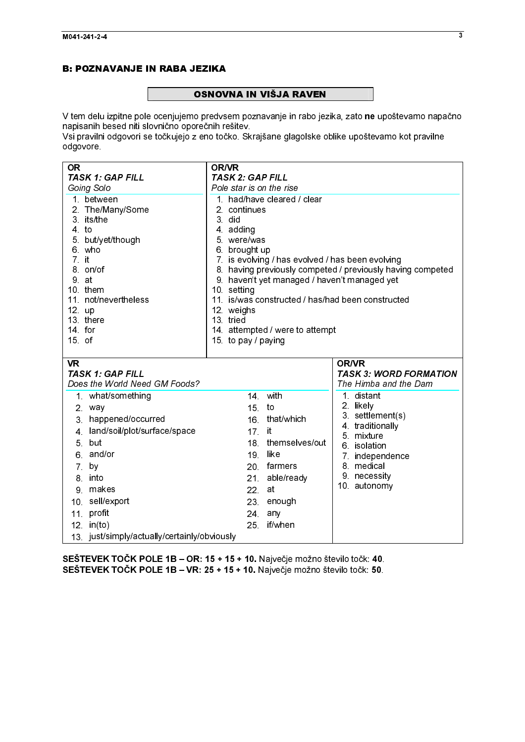# **Example 2** OSNOV

 $\frac{1}{2}$ **OSNOVNA IN VIŠJA RAVEN**<br>V tem delu izpitne pole ocenjujemo predvsem poznavanje in rabo jezika, zato **ne** upoštevamo napačno<br>napisanih besed niti slovnično oporečnih rešitev.<br>Vsi pravilni odgovori se točkujejo z eno točko.

| V tem delu izpitne pole ocenjujemo predvsem poznavanje in rabo jezika, zato ne upoštevamo napačno<br>napisanih besed niti slovnično oporečnih rešitev<br>Vsi pravilni odgovori se točkujejo z eno točko. Skrajšane glagolske oblike upoštevamo kot pravilne<br>odgovore. |                                                                                                                |                                                                     |
|--------------------------------------------------------------------------------------------------------------------------------------------------------------------------------------------------------------------------------------------------------------------------|----------------------------------------------------------------------------------------------------------------|---------------------------------------------------------------------|
| <b>OR</b><br><b>TASK 1: GAP FILL</b><br>Going Solo                                                                                                                                                                                                                       | <b>OR/VR</b><br><b>TASK 2: GAP FILL</b><br>Pole star is on the rise                                            |                                                                     |
| 1. between<br>2 The/Many/Some<br>3 its/the                                                                                                                                                                                                                               | 1. had/have cleared / clear<br>2 continues<br>3 did                                                            |                                                                     |
| $4$ to<br>5 but/yet/though<br>6 who<br>$7$ it                                                                                                                                                                                                                            | 4 adding<br>5 were/was<br>6 brought up<br>7. is evolving / has evolved / has been evolving                     |                                                                     |
| 8. on/of<br>9 at<br>10. them                                                                                                                                                                                                                                             | 9. haven't yet managed / haven't managed yet<br>10 setting                                                     | 8. having previously competed / previously having competed          |
| 11. not/nevertheless<br>12. up<br>13. there<br>14 for                                                                                                                                                                                                                    | 11. is/was constructed / has/had been constructed<br>12 weighs<br>13. tried<br>14. attempted / were to attempt |                                                                     |
| $15$ of<br><b>VR</b>                                                                                                                                                                                                                                                     | 15 to pay / paying                                                                                             | OR/VR                                                               |
| <b>TASK 1: GAP FILL</b><br>Does the World Need GM Foods?<br>1 what/something                                                                                                                                                                                             | with<br>14                                                                                                     | <b>TASK 3: WORD FORMATION</b><br>The Himba and the Dam<br>1 distant |
| 2 way<br>3 happened/occurred<br>4 land/soil/plot/surface/space                                                                                                                                                                                                           | 15 <sub>1</sub><br>to<br>16 that/which<br>$17$ it                                                              | 2 likely<br>3 settlement(s)<br>4 traditionally                      |
| 5 but<br>6 and/or<br>7 by                                                                                                                                                                                                                                                | 18 themselves/out<br>like<br>19<br>20 farmers                                                                  | 5 mixture<br>6 isolation<br>7. independence<br>8 medical            |
| 8 into<br>9 makes<br>10. sell/export                                                                                                                                                                                                                                     | able/ready<br>21<br>at<br>22.<br>23<br>enough                                                                  | 9 necessity<br>10. autonomy                                         |
| 11 profit<br>$12$ in(to)<br>13 just/simply/actually/certainly/obviously                                                                                                                                                                                                  | 24 any<br>if/when<br>25 <sub>1</sub>                                                                           |                                                                     |
| SEŠTEVEK TOČK POLE 1B - OR: 15 + 15 + 10. Največje možno število točk: 40.<br>SEŠTEVEK TOČK POLE 1B - VR: 25 + 15 + 10. Največje možno število točk: 50.                                                                                                                 |                                                                                                                |                                                                     |
|                                                                                                                                                                                                                                                                          |                                                                                                                |                                                                     |
|                                                                                                                                                                                                                                                                          |                                                                                                                |                                                                     |
|                                                                                                                                                                                                                                                                          |                                                                                                                |                                                                     |
|                                                                                                                                                                                                                                                                          |                                                                                                                |                                                                     |
|                                                                                                                                                                                                                                                                          |                                                                                                                |                                                                     |
|                                                                                                                                                                                                                                                                          |                                                                                                                |                                                                     |
|                                                                                                                                                                                                                                                                          |                                                                                                                |                                                                     |
|                                                                                                                                                                                                                                                                          |                                                                                                                |                                                                     |
|                                                                                                                                                                                                                                                                          |                                                                                                                |                                                                     |
|                                                                                                                                                                                                                                                                          |                                                                                                                |                                                                     |
|                                                                                                                                                                                                                                                                          |                                                                                                                |                                                                     |
|                                                                                                                                                                                                                                                                          |                                                                                                                |                                                                     |
|                                                                                                                                                                                                                                                                          |                                                                                                                |                                                                     |
|                                                                                                                                                                                                                                                                          |                                                                                                                |                                                                     |
|                                                                                                                                                                                                                                                                          |                                                                                                                |                                                                     |
|                                                                                                                                                                                                                                                                          |                                                                                                                |                                                                     |
|                                                                                                                                                                                                                                                                          |                                                                                                                |                                                                     |
|                                                                                                                                                                                                                                                                          |                                                                                                                |                                                                     |
|                                                                                                                                                                                                                                                                          |                                                                                                                |                                                                     |
|                                                                                                                                                                                                                                                                          |                                                                                                                |                                                                     |
|                                                                                                                                                                                                                                                                          |                                                                                                                |                                                                     |
|                                                                                                                                                                                                                                                                          |                                                                                                                |                                                                     |
|                                                                                                                                                                                                                                                                          |                                                                                                                |                                                                     |
|                                                                                                                                                                                                                                                                          |                                                                                                                |                                                                     |
|                                                                                                                                                                                                                                                                          |                                                                                                                |                                                                     |
|                                                                                                                                                                                                                                                                          |                                                                                                                |                                                                     |
|                                                                                                                                                                                                                                                                          |                                                                                                                |                                                                     |
|                                                                                                                                                                                                                                                                          |                                                                                                                |                                                                     |
|                                                                                                                                                                                                                                                                          |                                                                                                                |                                                                     |
|                                                                                                                                                                                                                                                                          |                                                                                                                |                                                                     |
|                                                                                                                                                                                                                                                                          |                                                                                                                |                                                                     |
|                                                                                                                                                                                                                                                                          |                                                                                                                |                                                                     |
|                                                                                                                                                                                                                                                                          |                                                                                                                |                                                                     |
|                                                                                                                                                                                                                                                                          |                                                                                                                |                                                                     |
|                                                                                                                                                                                                                                                                          |                                                                                                                |                                                                     |
|                                                                                                                                                                                                                                                                          |                                                                                                                |                                                                     |
|                                                                                                                                                                                                                                                                          |                                                                                                                |                                                                     |
|                                                                                                                                                                                                                                                                          |                                                                                                                |                                                                     |
|                                                                                                                                                                                                                                                                          |                                                                                                                |                                                                     |
|                                                                                                                                                                                                                                                                          |                                                                                                                |                                                                     |
|                                                                                                                                                                                                                                                                          |                                                                                                                |                                                                     |
|                                                                                                                                                                                                                                                                          |                                                                                                                |                                                                     |
|                                                                                                                                                                                                                                                                          |                                                                                                                |                                                                     |
|                                                                                                                                                                                                                                                                          |                                                                                                                |                                                                     |
|                                                                                                                                                                                                                                                                          |                                                                                                                |                                                                     |
|                                                                                                                                                                                                                                                                          |                                                                                                                |                                                                     |
|                                                                                                                                                                                                                                                                          |                                                                                                                |                                                                     |
|                                                                                                                                                                                                                                                                          |                                                                                                                |                                                                     |
|                                                                                                                                                                                                                                                                          |                                                                                                                |                                                                     |
|                                                                                                                                                                                                                                                                          |                                                                                                                |                                                                     |
|                                                                                                                                                                                                                                                                          |                                                                                                                |                                                                     |
|                                                                                                                                                                                                                                                                          |                                                                                                                |                                                                     |
|                                                                                                                                                                                                                                                                          |                                                                                                                |                                                                     |
|                                                                                                                                                                                                                                                                          |                                                                                                                |                                                                     |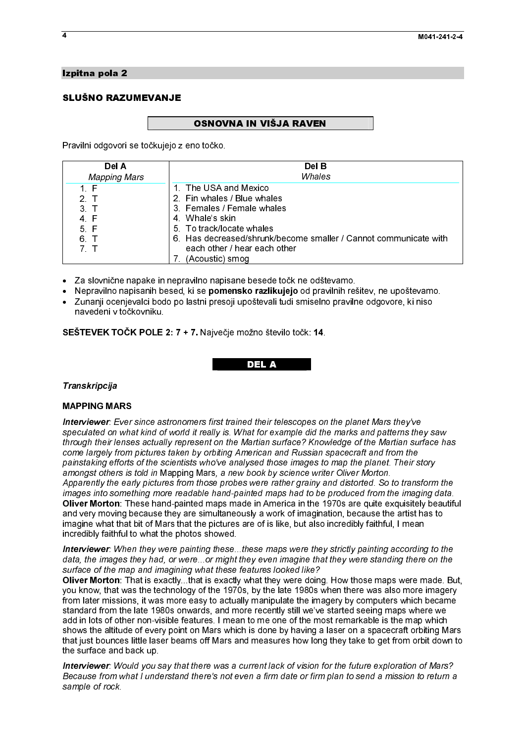# Izpitna pola 2<br>SLUŠNO RAZUMEVANJE SLUŠNO RAZUMEVANJE<br>SLUŠNO RAZUMEVANJE

.<br>F Pravilni odgovori se točkujejo z eno točko.

| Del A               | Del B                                                            |  |  |
|---------------------|------------------------------------------------------------------|--|--|
| <b>Mapping Mars</b> | Whales                                                           |  |  |
| 1 F                 | 1 The USA and Mexico                                             |  |  |
| 2 <sub>T</sub>      | 2 Fin whales / Blue whales                                       |  |  |
| 3 <sub>T</sub>      | 3 Females / Female whales                                        |  |  |
| 4 F                 | 4 Whale's skin                                                   |  |  |
| 5 F                 | 5 To track/locate whales                                         |  |  |
| 6 T                 | 6. Has decreased/shrunk/become smaller / Cannot communicate with |  |  |
| 7 T                 | each other / hear each other                                     |  |  |
|                     | (Acoustic) smog                                                  |  |  |

- Za slovnične napake in nepravilno napisane besede točk ne odštevamo.<br>● Nepravilno napisanih besed, ki se **nomensko razlikujejo** od pravilnih reš
- Nepravilno napisanih besed, ki se pomensko razlikujejo od pravilnih rešitev, ne upoštevamo.
- $\ddot{\phantom{a}}$ - Zunanji ocenjevalci bodo po lastni presoji upoštevali tudi smiselno pravilne odgovore, ki niso navedeni v točkovniku.

SEŠTEVEK TOČK POLE 2: 7 + 7. Največje možno število točk: 14.<br>DEL A

#### Transkripcija<br>MAPPING MARS . Transkripcija

#### **MAPPING MARS**

man Party in the<br>I**nterviewer**: Ever<br>speculated on wha<br>through their lense Interviewer: Ever since astronomers first trained their telescopes on the planet Mars they've speculated on what kind of world it really is. What for example did the marks and patterns they saw through their lenses actually represent on the Martian surface? Knowledge of the Martian surface has come largely from pictures taken by orbiting American and Russian spacecraft and from the painstaking efforts of the scientists who've analysed those images to map the planet. Their story amongst others is told in Mapping Mars, a new book by science writer Oliver Morton. Apparently the early pictures from those probes were rather grainy and distorted. So to transform the images into something more readable hand-painted maps had to be produced from the imaging data.<br>Oliver Morton: These hand-painted maps made in America in the 1970s are quite exquisitely beautiful

Oliver Morton: These hand-painted maps made in America in the 1970s are quite exquisitely beautiful<br>and very moving because they are simultaneously a work of imagination, because the artist has to<br>imagine what that bit of and very moving because they are simultaneously a work of imagination, because the artist has to imagine what that bit of Mars that the pictures are of is like, but also incredibly faithful, I mean incredibly faithful to what the photos showed.

Interviewer: When they were painting these...these maps were they strictly painting according to the data, the images they had, or were...or might they even imagine that they were standing there on the surface of the map and imagining what these features looked like?

Oli**ver Morton**: That is exactly...that is exactly what they were doing. How those maps were made. But,<br>you know, that was the technology of the 1970s, by the late 1980s when there was also more imagery<br>from later missions you know, that was the technology of the 1970s, by the late 1980s when there was also more imagery from later missions, it was more easy to actually manipulate the imagery by computers which became standard from the late 1980s onwards, and more recently still we've started seeing maps where we add in lots of other non-visible features. I mean to me one of the most remarkable is the map which shows the altitude of every point on Mars which is done by having a laser on a spacecraft orbiting Mars that just bounces little laser beams off Mars and measures how long they take to get from orbit down to the surface and back up.

Interviewer: Would you say that there was a current lack of vision for the future exploration of Mars? Because from what I understand there's not even a firm date or firm plan to send a mission to return a sample of rock.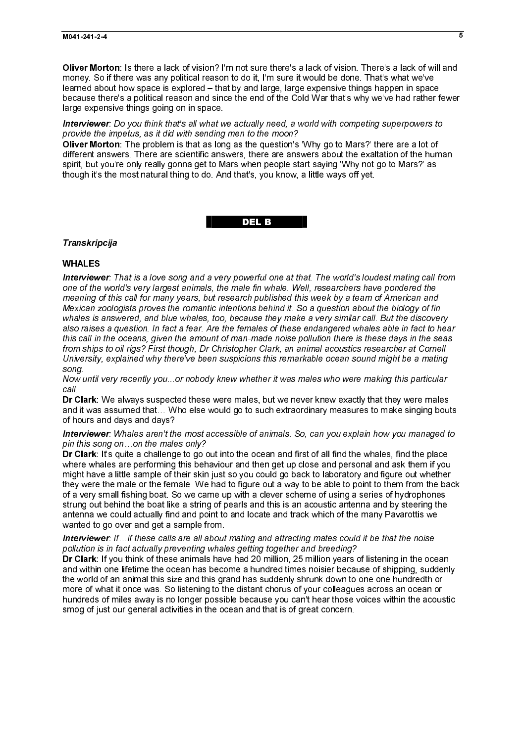money. So if there was any political reason to do it, I'm sure it would be done. That's what we've learned about how space is explored – that by and large, large expensive things happen in space because there's a political reason and since the end of the Cold War that's why we've had rather fewer large expensive things going on in space.

Interviewer: Do you think that's all what we actually need, a world with competing superpowers to

provide the impetus, as it did with sending men to the moon?<br>Oli**ver Morton**: The problem is that as long as the question's 'Why go to Mars?' there are a lot of different answers. There are scientific answers, there are answers about the exaltation of the human spirit, but you're only really gonna get to Mars when people start saying 'Why not go to Mars?' as though it's the most natural thing to do. And that's, you know, a little ways off yet.

del de la construcción de la construcción de la construcción de la construcción de la construcción de la const<br>Del de la construcción de la construcción de la construcción de la construcción de la construcción de la const

Transkripcija

#### **WHALES**

Oliver Morton: Is there a lack of vision? I'm not sure there's a lack of vision. There is a lack of vision. There are a lack of vision. There are a lack of vision in the sure that there are a lack of vision. There are a la Oliver Morton: The problem is that as long as the question's 'Why go but set's the problem is the control of the problem is the question's the problem is the problem in the problem is that as the question of the attention Therview<br>
Interview<br>
one of the<br>
meaning o<br>
Mexican z<br>
whales is a<br>
also raises<br>
this call in<br>
from ships<br>
University,<br>
song.<br>
Now until \<br>
call.<br>
Dr Clark: \<br>
and it was<br>
of hours a<br> **Interview**<br>
pin this so<br>
Dr Clark: \<br> Interviewer: That is a love song and a very powerful one at that. The world's loudest mating call from one of the world's very largest animals, the male fin whale. Well, researchers have pondered the meaning of this call for many years, but research published this week by a team of American and Mexican zoologists proves the romantic intentions behind it. So a question about the biology of fin whales is answered, and blue whales, too, because they make a very similar call. But the discovery also raises a question. In fact a fear. Are the females of these endangered whales able in fact to hear this call in the oceans, given the amount of man-made noise pollution there is these days in the seas from ships to oil rigs? First though, Dr Christopher Clark, an animal acoustics researcher at Cornell University, explained why there've been suspicions this remarkable ocean sound might be a mating song.

Now until very recently you...or nobody knew whether it was males who were making this particular call.

and it was assumed that… Who else would go to such extraordinary measures to make singing bouts of hours and days and days?

#### Interviewer: Whales aren't the most accessible of animals. So, can you explain how you managed to pin this song on…on the males only?

Dr Clark: We always suspected these were males, but we never knew exactly that they were nales apply the males only the males part were knew exactly that they were males only finder wises any of hours and days and days?<br> **Dr Clark:** It's quite a challenge to go out into the ocean and first of all find the whales, find the place by might have a little sample of their skin just so you could go back to laboratory and figure unity might have where whales are performing this behaviour and then get up close and personal and ask them if you might have a little sample of their skin just so you could go back to laboratory and figure out whether they were the male or the female. We had to figure out a way to be able to point to them from the back of a very small fishing boat. So we came up with a clever scheme of using a series of hydrophones strung out behind the boat like a string of pearls and this is an acoustic antenna and by steering the antenna we could actually find and point to and locate and track which of the many Pavarottis we wanted to go over and get a sample from.

#### Interviewer: If...if these calls are all about mating and attracting mates could it be that the noise pollution is in fact actually preventing whales getting together and breeding?<br>Dr Clark: If you think of these animals have had 20 million, 25 million years of listening in the ocean

**Dr Clark**: If you think of these animals have had 20 million, 25 million years of listening in the ocean and within one lifetime the ocean has become a hundred times noisier because of shipping, suddenline world of an ani and within one lifetime the ocean has become a hundred times noisier because of shipping, suddenly the world of an animal this size and this grand has suddenly shrunk down to one one hundredth or more of what it once was. So listening to the distant chorus of your colleagues across an ocean or hundreds of miles away is no longer possible because you can't hear those voices within the acoustic smog of just our general activities in the ocean and that is of great concern.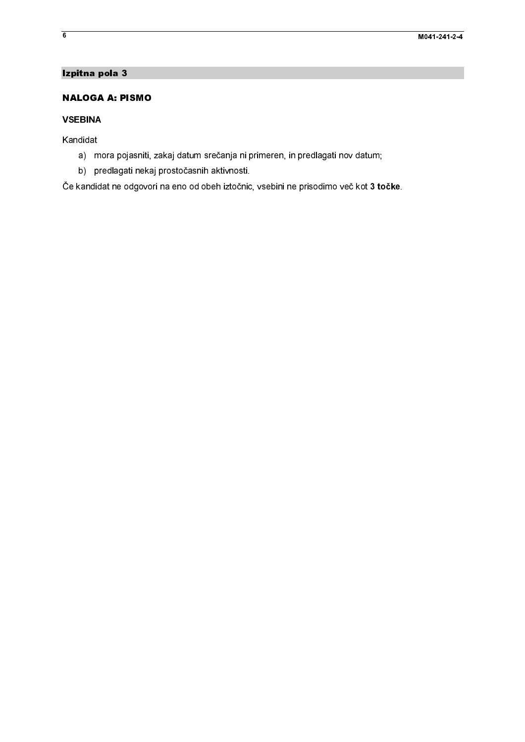#### Izpitna pola 3

# **NALOGA A: PI**<br> **NALOGA A: PI**<br> **VSEBINA**<br>
Kandidat<br>
a) mora poja<br>
Če kandidat ne od **NALOGA A: PISMO**

# $\frac{1}{2}$ **VSEBINA**

Kandidat

- a) mora pojasniti, zakaj datum srečanja ni primeren, in predlagati nov datum;
- b) predlagati nekaj prostočasnih aktivnosti.

VSEBINA<br>Kandidat<br>a) mora pojasniti, b) predlagati neka<br>Če kandidat ne odgovor Kandidat<br>a) mo<br>b) pro<br>Če kandida  $\frac{1}{2}$ a) m<br>b) p<br>Če kandidate<br>date in the set of the set of the set of the set of the set of the set of the set of the set of the set of the set of the set of the set of the set of the set of the set of the set of the set of the a) predlagati nekaj prostočasnih aktivnosti<br>) predlagati nekaj prostočasnih aktivnosti<br>andidat ne odgovori na eno od obeh iztočnio, vsebini ne prisodimo več kot 3 to b) predication of the distribution of the prediction of the protocol of the protocol of the prosession of the prosession of the protocol of the protocol of the protocol of the protocol of the protocol of the protocol of th Če kandidat ne odgovori na eno od obeh iztočnic, vsebini ne prisodimo več kot 3 točke.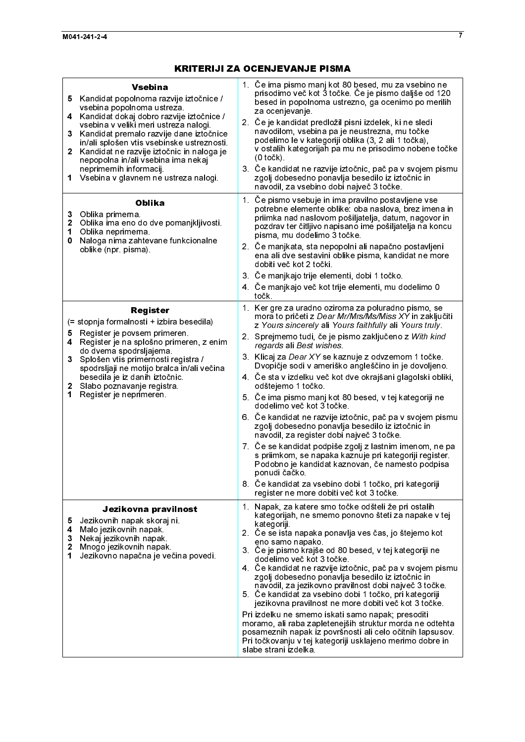| <b>Vsebina</b><br>Kandidat popolnoma razvije iztočnice /<br>5.<br>vsebina popolnoma ustreza.<br>Kandidat dokaj dobro razvije iztočnice /<br>4<br>vsebina v veliki meri ustreza nalogi.<br>3<br>Kandidat premalo razvije dane iztočnice<br>in/ali splošen vtis vsebinske ustreznosti.<br>Kandidat ne razvije iztočnic in naloga je<br>$\mathbf{2}^-$<br>nepopolna in/ali vsebina ima nekaj<br>neprimernih informacij.<br>Vsebina v glavnem ne ustreza nalogi.<br>1<br><b>Oblika</b><br>Oblika primerna<br>3<br>Oblika ima eno do dve pomanjkljivosti.<br>$\mathbf{2}$<br>Oblika neprimerna<br>1<br>Naloga nima zahtevane funkcionalne<br>0<br>oblike (npr pisma) | 1. Če ima pismo manj kot 80 besed, mu za vsebino ne<br>prisodimo več kot 3 točke. Če je pismo daljše od 120<br>besed in popolnoma ustrezno, ga ocenimo po merilih<br>za ocenjevanje.<br>2. Če je kandidat predložil pisni izdelek, ki ne sledi<br>navodilom, vsebina pa je neustrezna, mu točke<br>podelimo le v kategoriji oblika (3, 2 ali 1 točka),<br>v ostalih kategorijah pa mu ne prisodimo nobene točke<br>$(0 to \check{c}k)$<br>3. Če kandidat ne razvije iztočnic, pač pa v svojem pismu<br>zgolj dobesedno ponavlja besedilo iz iztočnic in<br>navodil, za vsebino dobi največ 3 točke.<br>1. Če pismo vsebuje in ima pravilno postavljene vse<br>potrebne elemente oblike: oba naslova, brez imena in<br>priimka nad naslovom pošiljatelja, datum, nagovor in<br>pozdrav ter čitljivo napisano ime pošiljatelja na koncu<br>pisma, mu dodelimo 3 točke.<br>2. Če manjkata, sta nepopolni ali napačno postavljeni<br>ena ali dve sestavini oblike pisma, kandidat ne more<br>dobiti več kot 2 točki.<br>3. Če manjkajo trije elementi, dobi 1 točko.<br>4. Če manjkajo več kot trije elementi, mu dodelimo 0<br>točk. |
|-----------------------------------------------------------------------------------------------------------------------------------------------------------------------------------------------------------------------------------------------------------------------------------------------------------------------------------------------------------------------------------------------------------------------------------------------------------------------------------------------------------------------------------------------------------------------------------------------------------------------------------------------------------------|-----------------------------------------------------------------------------------------------------------------------------------------------------------------------------------------------------------------------------------------------------------------------------------------------------------------------------------------------------------------------------------------------------------------------------------------------------------------------------------------------------------------------------------------------------------------------------------------------------------------------------------------------------------------------------------------------------------------------------------------------------------------------------------------------------------------------------------------------------------------------------------------------------------------------------------------------------------------------------------------------------------------------------------------------------------------------------------------------------------------------------------|
| Register<br>(= stopnja formalnosti + izbira besedila)<br>Register je povsem primeren.<br>5<br>Register je na splošno primeren, z enim<br>4<br>do dvema spodrsljajema.<br>3<br>Splošen vtis primernosti registra /<br>spodrsljaji ne motijo bralca in/ali večina<br>besedila je iz danih iztočnic.<br>Slabo poznavanje registra<br>$\mathbf{2}$<br>Register je neprimeren.<br>1                                                                                                                                                                                                                                                                                  | 1. Ker gre za uradno oziroma za poluradno pismo, se<br>mora to pričeti z Dear Mr/Mrs/Ms/Miss XY in zaključiti<br>z Yours sincerely ali Yours faithfully ali Yours truly.<br>2. Sprejmemo tudi, če je pismo zaključeno z With kind<br>regards ali Best wishes<br>3. Klicaj za Dear XY se kaznuje z odvzemom 1 točke.<br>Dvopičje sodi v ameriško angleščino in je dovoljeno.<br>4. Če sta v izdelku več kot dve okrajšani glagolski obliki,<br>odštejemo 1 točko.<br>5. Če ima pismo manj kot 80 besed, v tej kategoriji ne<br>dodelimo več kot 3 točke.<br>6. Če kandidat ne razvije iztočnic, pač pa v svojem pismu<br>zgolj dobesedno ponavlja besedilo iz iztočnic in<br>navodil, za register dobi največ 3 točke.<br>7. Če se kandidat podpiše zgolj z lastnim imenom, ne pa<br>s priimkom, se napaka kaznuje pri kategoriji register.<br>Podobno je kandidat kaznovan, če namesto podpisa<br>ponudi čačko.<br>8. Če kandidat za vsebino dobi 1 točko, pri kategoriji<br>register ne more dobiti več kot 3 točke.                                                                                                             |
| Jezikovna pravilnost<br>Jezikovnih napak skoraj ni<br>5<br>Malo jezikovnih napak.<br>4<br>Nekaj jezikovnih napak.<br>3<br>$\mathbf{2}$<br>Mnogo jezikovnih napak.<br>Jezikovno napačna je večina povedi.<br>1.                                                                                                                                                                                                                                                                                                                                                                                                                                                  | 1. Napak, za katere smo točke odšteli že pri ostalih<br>kategorijah, ne smemo ponovno šteti za napake v tej<br>kategoriji<br>2. Če se ista napaka ponavlja ves čas, jo štejemo kot<br>eno samo napako.<br>3 Če je pismo krajše od 80 besed, v tej kategoriji ne<br>dodelimo več kot 3 točke.<br>4. Če kandidat ne razvije iztočnic, pač pa v svojem pismu<br>zgolj dobesedno ponavlja besedilo iz iztočnic in<br>navodil, za jezikovno pravilnost dobi največ 3 točke.<br>5. Če kandidat za vsebino dobi 1 točko, pri kategoriji<br>jezikovna pravilnost ne more dobiti več kot 3 točke.<br>Pri izdelku ne smemo iskati samo napak; presoditi<br>moramo, ali raba zapletenejših struktur morda ne odtehta<br>posameznih napak iz površnosti ali celo očitnih lapsusov.<br>Pri točkovanju v tej kategoriji usklajeno merimo dobre in<br>slabe strani izdelka                                                                                                                                                                                                                                                                       |
|                                                                                                                                                                                                                                                                                                                                                                                                                                                                                                                                                                                                                                                                 |                                                                                                                                                                                                                                                                                                                                                                                                                                                                                                                                                                                                                                                                                                                                                                                                                                                                                                                                                                                                                                                                                                                                   |
|                                                                                                                                                                                                                                                                                                                                                                                                                                                                                                                                                                                                                                                                 |                                                                                                                                                                                                                                                                                                                                                                                                                                                                                                                                                                                                                                                                                                                                                                                                                                                                                                                                                                                                                                                                                                                                   |
|                                                                                                                                                                                                                                                                                                                                                                                                                                                                                                                                                                                                                                                                 |                                                                                                                                                                                                                                                                                                                                                                                                                                                                                                                                                                                                                                                                                                                                                                                                                                                                                                                                                                                                                                                                                                                                   |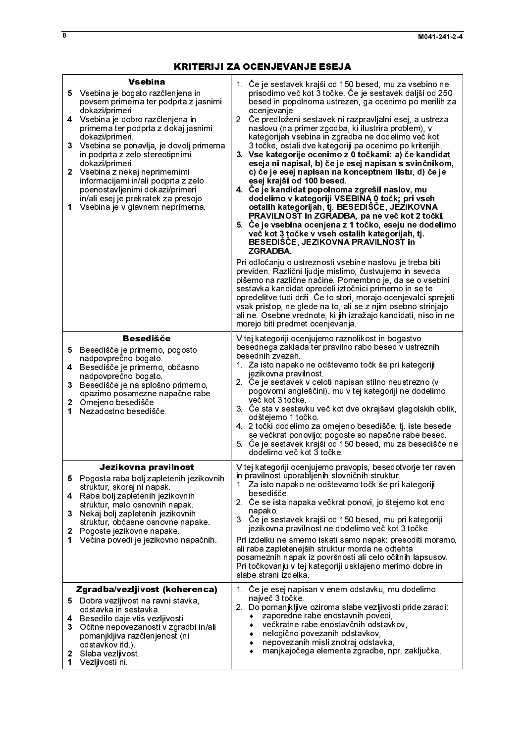| <b>Vsebina</b><br>5 Vsebina je bogato razčlenjena in<br>povsem primerna ter podprta z jasnimi<br>dokazi/primeri.<br>4 Vsebina je dobro razčlenjena in<br>primerna ter podprta z dokaj jasnimi<br>dokazi/primeri.<br>3 <sup>1</sup><br>Vsebina se ponavlja, je dovolj primerna<br>in podprta z zelo stereotipnimi<br>dokazi/primeri.<br>2 Vsebina z nekaj neprimernimi<br>informacijami in/ali podprta z zelo<br>poenostavljenimi dokazi/primeri<br>in/ali esej je prekratek za presojo<br>Vsebina je v glavnem neprimerna.<br>1 | 1. Če je sestavek krajši od 150 besed, mu za vsebino ne<br>prisodimo več kot 3 točke. Če je sestavek daljši od 250<br>besed in popolnoma ustrezen, ga ocenimo po merilih za<br>ocenjevanje.<br>2. Če predloženi sestavek ni razpravljalni esej, a ustreza<br>naslovu (na primer zgodba, ki ilustrira problem), v<br>kategorijah vsebina in zgradba ne dodelimo več kot<br>3 točke, ostali dve kategoriji pa ocenimo po kriterijih.<br>3. Vse kategorije ocenimo z 0 točkami: a) če kandidat<br>eseja ni napisal, b) če je esej napisan s svinčnikom,<br>c) če je esej napisan na konceptnem listu, d) če je<br>esej krajši od 100 besed.<br>4. Če je kandidat popolnoma zgrešil naslov, mu<br>dodelimo v kategoriji VSEBINA 0 točk; pri vseh<br>ostalih kategorijah, tj. BESEDIŠČE, JEZIKOVNA<br>PRAVILNOST in ZGRADBA, pa ne več kot 2 točki.<br>5. Če je vsebina ocenjena z 1 točko, eseju ne dodelimo<br>več kot 3 točke v vseh ostalih kategorijah, tj.<br>BESEDIŠČE, JEZIKOVNA PRAVILNOST in<br><b>ZGRADBA</b><br>Pri odločanju o ustreznosti vsebine naslovu je treba biti<br>previden. Različni ljudje mislimo, čustvujemo in seveda<br>pišemo na različne načine. Pomembno je, da se o vsebini<br>sestavka kandidat opredeli iztočnici primerno in se te<br>opredelitve tudi drži. Če to stori, morajo ocenjevalci sprejeti<br>vsak pristop, ne glede na to, ali se z njim osebno strinjajo<br>ali ne. Osebne vrednote, ki jih izražajo kandidati, niso in ne<br>morejo biti predmet ocenjevanja. |
|---------------------------------------------------------------------------------------------------------------------------------------------------------------------------------------------------------------------------------------------------------------------------------------------------------------------------------------------------------------------------------------------------------------------------------------------------------------------------------------------------------------------------------|-----------------------------------------------------------------------------------------------------------------------------------------------------------------------------------------------------------------------------------------------------------------------------------------------------------------------------------------------------------------------------------------------------------------------------------------------------------------------------------------------------------------------------------------------------------------------------------------------------------------------------------------------------------------------------------------------------------------------------------------------------------------------------------------------------------------------------------------------------------------------------------------------------------------------------------------------------------------------------------------------------------------------------------------------------------------------------------------------------------------------------------------------------------------------------------------------------------------------------------------------------------------------------------------------------------------------------------------------------------------------------------------------------------------------------------------------------------------------------------------------------------|
| <b>Besedišče</b><br>Besedišče je primerno, pogosto<br>5<br>nadpovprečno bogato<br>Besedišče je primerno, občasno<br>4<br>nadpovprečno bogato.<br>Besedišče je na splošno primerno,<br>3<br>opazimo posamezne napačne rabe<br>$\mathbf{2}$<br>Omejeno besedišče<br>Nezadostno besedišče<br>1                                                                                                                                                                                                                                     | V tej kategoriji ocenjujemo raznolikost in bogastvo<br>besednega zaklada ter pravilno rabo besed v ustreznih<br>besednih zvezah.<br>1. Za isto napako ne odštevamo točk še pri kategoriji<br>jezikovna pravilnost<br>2. Če je sestavek v celoti napisan stilno neustrezno (v<br>pogovorni angleščini), mu v tej kategoriji ne dodelimo<br>več kot 3 točke<br>3. Če sta v sestavku več kot dve okrajšavi glagolskih oblik,<br>odštejemo 1 točko<br>4 2 točki dodelimo za omejeno besedišče, tj. iste besede<br>se večkrat ponovijo; pogoste so napačne rabe besed.<br>5 Če je sestavek krajši od 150 besed, mu za besedišče ne<br>dodelimo več kot 3 točke                                                                                                                                                                                                                                                                                                                                                                                                                                                                                                                                                                                                                                                                                                                                                                                                                                                 |
| Jezikovna pravilnost<br>5.<br>Pogosta raba bolj zapletenih jezikovnih<br>struktur, skoraj ni napak<br>Raba bolj zapletenih jezikovnih<br>4<br>struktur, malo osnovnih napak.<br>Nekaj bolj zapletenih jezikovnih<br>3.<br>struktur, občasne osnovne napake.<br>Pogoste jezikovne napake<br>2<br>Večina povedi je jezikovno napačnih.<br>1.                                                                                                                                                                                      | V tej kategoriji ocenjujemo pravopis, besedotvorje ter raven<br>in pravilnost uporabljenih slovničnih struktur.<br>1. Za isto napako ne odštevamo točk še pri kategoriji<br>besedišče<br>2. Če se ista napaka večkrat ponovi, jo štejemo kot eno<br>napako.<br>3. Če je sestavek krajši od 150 besed, mu pri kategoriji<br>jezikovna pravilnost ne dodelimo več kot 3 točke.<br>Pri izdelku ne smemo iskati samo napak, presoditi moramo,<br>ali raba zapletenejših struktur morda ne odtehta<br>posameznih napak iz površnosti ali celo očitnih lapsusov.<br>Pri točkovanju v tej kategoriji usklajeno merimo dobre in<br>slabe strani izdelka.                                                                                                                                                                                                                                                                                                                                                                                                                                                                                                                                                                                                                                                                                                                                                                                                                                                          |
| Zgradba/vezljivost (koherenca)<br>Dobra vezijivost na ravni stavka,<br>5<br>odstavka in sestavka<br>Besedilo daje vtis vezljivosti.<br>4<br>3<br>Očitne nepovezanosti v zgradbi in/ali<br>pomanjkljiva razčlenjenost (ni<br>odstavkov itd.)                                                                                                                                                                                                                                                                                     | 1. Ce je esej napisan v enem odstavku, mu dodelimo<br>največ 3 točke<br>2. Do pomanjkljive oziroma slabe vezljivosti pride zaradi:<br>zaporedne rabe enostavnih povedi,<br>večkratne rabe enostavčnih odstavkov,<br>nelogično povezanih odstavkov,<br>۰<br>nepovezanih misli znotraj odstavka,<br>٠                                                                                                                                                                                                                                                                                                                                                                                                                                                                                                                                                                                                                                                                                                                                                                                                                                                                                                                                                                                                                                                                                                                                                                                                       |
| Slaba vezljivost<br>$\mathbf{2}$<br>Vezljivosti ni.<br>$\mathbf{1}$                                                                                                                                                                                                                                                                                                                                                                                                                                                             | manjkajočega elementa zgradbe, npr. zaključka.<br>٠                                                                                                                                                                                                                                                                                                                                                                                                                                                                                                                                                                                                                                                                                                                                                                                                                                                                                                                                                                                                                                                                                                                                                                                                                                                                                                                                                                                                                                                       |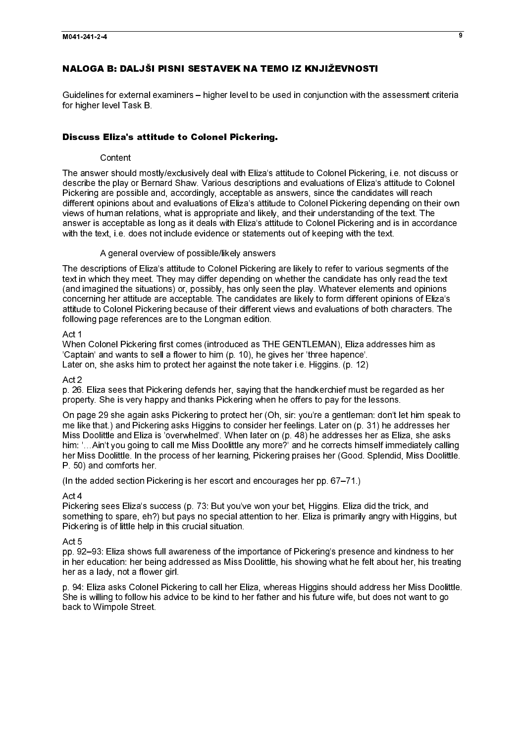#### NALOGA B: DALJŠI PISNI SESTAVEK NA TEMO IZ KNJIŽEVNOSTI

Guidelines for external examiners – higher level to be used in conjunction with the assessment criteria for higher level Task B.

#### Discuss Eliza's attitude to Colonel Pickering.

#### **Content**

The answer should mostly/exclusively deal with Eliza's attitude to Colonel Pickering, i.e. not discuss or describe the play or Bernard Shaw. Various descriptions and evaluations of Eliza's attitude to Colonel Pickering are possible and, accordingly, acceptable as answers, since the candidates will reach different opinions about and evaluations of Eliza's attitude to Colonel Pickering depending on their own views of human relations, what is appropriate and likely, and their understanding of the text. The answer is acceptable as long as it deals with Eliza's attitude to Colonel Pickering and is in accordance with the text, i.e. does not include evidence or statements out of keeping with the text.

#### A general overview of possible/likely answers

The descriptions of Eliza's attitude to Colonel Pickering are likely to refer to various segments of the text in which they meet. They may differ depending on whether the candidate has only read the text (and imagined the situations) or, possibly, has only seen the play. Whatever elements and opinions concerning her attitude are acceptable. The candidates are likely to form different opinions of Eliza's attitude to Colonel Pickering because of their different views and evaluations of both characters. The following page references are to the Longman edition.

#### Act 1

When Colonel Pickering first comes (introduced as THE GENTLEMAN), Eliza addresses him as 'Captain' and wants to sell a flower to him (p. 10), he gives her 'three hapence'. Later on, she asks him to protect her against the note taker i.e. Higgins. (p. 12)

#### Act 2

p. 26. Eliza sees that Pickering defends her, saying that the handkerchief must be regarded as her property. She is very happy and thanks Pickering when he offers to pay for the lessons.

On page 29 she again asks Pickering to protect her (Oh, sir: you're a gentleman: don't let him speak to me like that.) and Pickering asks Higgins to consider her feelings. Later on (p. 31) he addresses her Miss Doolittle and Eliza is 'overwhelmed'. When later on (p. 48) he addresses her as Eliza, she asks him: '…Ain't you going to call me Miss Doolittle any more?' and he corrects himself immediately calling her Miss Doolittle. In the process of her learning, Pickering praises her (Good. Splendid, Miss Doolittle. P. 50) and comforts her.

(In the added section Pickering is her escort and encourages her pp. 67–71.)

#### Act 4

Pickering sees Eliza's success (p. 73: But you've won your bet, Higgins. Eliza did the trick, and something to spare, eh?) but pays no special attention to her. Eliza is primarily angry with Higgins, but Pickering is of little help in this crucial situation.

#### Act 5

pp. 92–93: Eliza shows full awareness of the importance of Pickering's presence and kindness to her in her education: her being addressed as Miss Doolittle, his showing what he felt about her, his treating her as a lady, not a flower girl.

p. 94: Eliza asks Colonel Pickering to call her Eliza, whereas Higgins should address her Miss Doolittle. She is willing to follow his advice to be kind to her father and his future wife, but does not want to go back to Wimpole Street.

 $\overline{\mathbf{a}}$